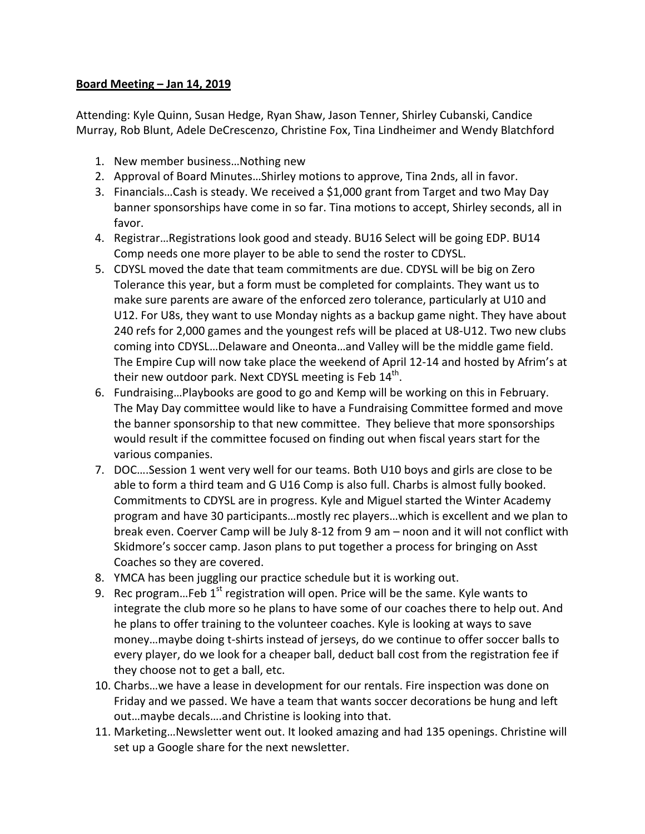## **Board Meeting – Jan 14, 2019**

Attending: Kyle Quinn, Susan Hedge, Ryan Shaw, Jason Tenner, Shirley Cubanski, Candice Murray, Rob Blunt, Adele DeCrescenzo, Christine Fox, Tina Lindheimer and Wendy Blatchford

- 1. New member business... Nothing new
- 2. Approval of Board Minutes...Shirley motions to approve, Tina 2nds, all in favor.
- 3. Financials...Cash is steady. We received a \$1,000 grant from Target and two May Day banner sponsorships have come in so far. Tina motions to accept, Shirley seconds, all in favor.
- 4. Registrar...Registrations look good and steady. BU16 Select will be going EDP. BU14 Comp needs one more player to be able to send the roster to CDYSL.
- 5. CDYSL moved the date that team commitments are due. CDYSL will be big on Zero Tolerance this year, but a form must be completed for complaints. They want us to make sure parents are aware of the enforced zero tolerance, particularly at U10 and U12. For U8s, they want to use Monday nights as a backup game night. They have about 240 refs for 2,000 games and the youngest refs will be placed at U8-U12. Two new clubs coming into CDYSL...Delaware and Oneonta...and Valley will be the middle game field. The Empire Cup will now take place the weekend of April 12-14 and hosted by Afrim's at their new outdoor park. Next CDYSL meeting is Feb  $14<sup>th</sup>$ .
- 6. Fundraising...Playbooks are good to go and Kemp will be working on this in February. The May Day committee would like to have a Fundraising Committee formed and move the banner sponsorship to that new committee. They believe that more sponsorships would result if the committee focused on finding out when fiscal years start for the various companies.
- 7. DOC....Session 1 went very well for our teams. Both U10 boys and girls are close to be able to form a third team and G U16 Comp is also full. Charbs is almost fully booked. Commitments to CDYSL are in progress. Kyle and Miguel started the Winter Academy program and have 30 participants...mostly rec players...which is excellent and we plan to break even. Coerver Camp will be July 8-12 from 9 am – noon and it will not conflict with Skidmore's soccer camp. Jason plans to put together a process for bringing on Asst Coaches so they are covered.
- 8. YMCA has been juggling our practice schedule but it is working out.
- 9. Rec program...Feb  $1<sup>st</sup>$  registration will open. Price will be the same. Kyle wants to integrate the club more so he plans to have some of our coaches there to help out. And he plans to offer training to the volunteer coaches. Kyle is looking at ways to save money...maybe doing t-shirts instead of jerseys, do we continue to offer soccer balls to every player, do we look for a cheaper ball, deduct ball cost from the registration fee if they choose not to get a ball, etc.
- 10. Charbs...we have a lease in development for our rentals. Fire inspection was done on Friday and we passed. We have a team that wants soccer decorations be hung and left out...maybe decals....and Christine is looking into that.
- 11. Marketing... Newsletter went out. It looked amazing and had 135 openings. Christine will set up a Google share for the next newsletter.